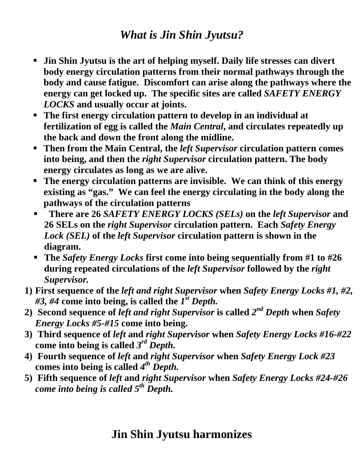## *What is Jin Shin Jyutsu?*

- **Jin Shin Jyutsu is the art of helping myself. Daily life stresses can divert body energy circulation patterns from their normal pathways through the body and cause fatigue. Discomfort can arise along the pathways where the energy can get locked up. The specific sites are called** *SAFETY ENERGY LOCKS* **and usually occur at joints.**
- **The first energy circulation pattern to develop in an individual at fertilization of egg is called the** *Main Central***, and circulates repeatedly up the back and down the front along the midline.**
- **Then from the Main Central, the** *left Supervisor* **circulation pattern comes into being, and then the** *right Supervisor* **circulation pattern. The body energy circulates as long as we are alive.**
- **The energy circulation patterns are invisible. We can think of this energy existing as "gas." We can feel the energy circulating in the body along the pathways of the circulation patterns**
- **There are 26** *SAFETY ENERGY LOCKS (SELs)* **on the** *left Supervisor* **and 26 SELs on the** *right Supervisor* **circulation pattern. Each** *Safety Energy Lock (SEL)* **of the** *left Supervisor* **circulation pattern is shown in the diagram.**
- **The** *Safety Energy Locks* **first come into being sequentially from #1 to #26 during repeated circulations of the** *left Supervisor* **followed by the** *right Supervisor.*
- **1) First sequence of the** *left and right Supervisor* **when** *Safety Energy Locks #1, #2, #3, #4* **come into being, is called the** *1st Depth.*
- **2) Second sequence of** *left and right Supervisor* **is called** *2nd Depth* **when** *Safety Energy Locks #5-#15* **come into being.**
- **3) Third sequence of** *left* **and** *right Supervisor* **when** *Safety Energy Locks #16-#22*  **come into being is called** *3rd Depth.*
- **4) Fourth sequence of** *left* **and** *right Supervisor* **when** *Safety Energy Lock #23*  **comes into being is called** *4th Depth.*
- **5) Fifth sequence of** *left* **and** *right Supervisor* **when** *Safety Energy Locks #24-#26 come into being is called 5th Depth.*

# **Jin Shin Jyutsu harmonizes**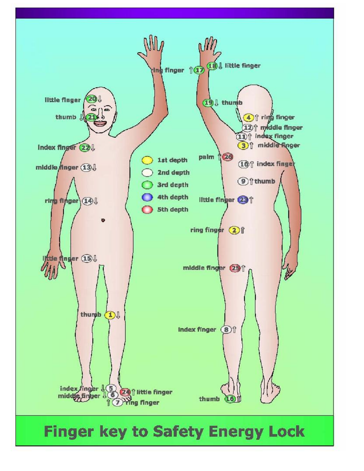